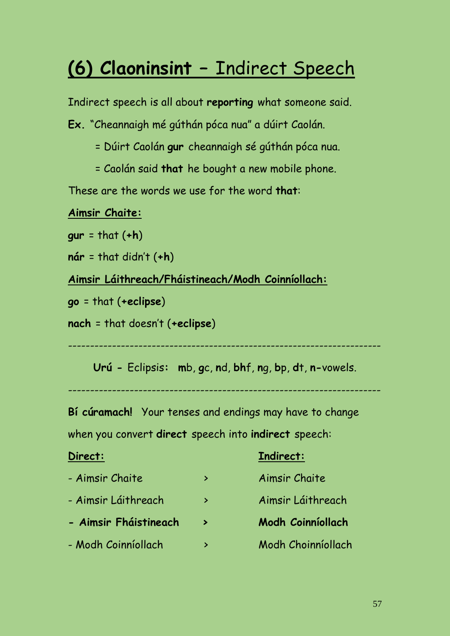# **(6) Claoninsint –** Indirect Speech

Indirect speech is all about **reporting** what someone said.

**Ex.** "Cheannaigh mé gúthán póca nua" a dúirt Caolán.

- = Dúirt Caolán **gur** cheannaigh sé gúthán póca nua.
- = Caolán said **that** he bought a new mobile phone.

These are the words we use for the word **that**:

#### **Aimsir Chaite:**

**gur** = that (**+h**)

**nár** = that didn't (**+h**)

#### **Aimsir Láithreach/Fháistineach/Modh Coinníollach:**

**go** = that (**+eclipse**)

**nach** = that doesn't (**+eclipse**)

-----------------------------------------------------------------------

**Urú -** Eclipsis**: m**b, **g**c, **n**d, **bh**f, **n**g, **b**p, **d**t, **n-**vowels.

-----------------------------------------------------------------------

**Bí cúramach!** Your tenses and endings may have to change

when you convert **direct** speech into **indirect** speech:

| Direct:               |                       | Indirect:                |
|-----------------------|-----------------------|--------------------------|
| - Aimsir Chaite       | ⋗                     | Aimsir Chaite            |
| - Aimsir Láithreach   | ⋗                     | Aimsir Láithreach        |
| - Aimsir Fháistineach | $\blacktriangleright$ | <b>Modh Coinníollach</b> |
| - Modh Coinníollach   | ⋗                     | Modh Choinníollach       |
|                       |                       |                          |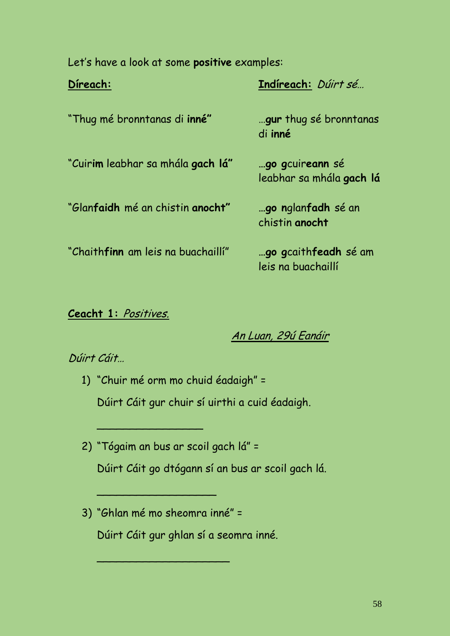Let's have a look at some **positive** examples:

| Direach:                                         | Indireach: Dúirt sé                                        |
|--------------------------------------------------|------------------------------------------------------------|
| "Thug mé bronntanas di inné"                     | gur thug sé bronntanas<br>di inné                          |
| "Cuir <b>im</b> leabhar sa mhála <b>gach lá"</b> | go gcuireann sé<br>leabhar sa mhála gach lá                |
| "Glanfaidh mé an chistin anocht"                 | go nglanfadh sé an<br>chistin anocht                       |
| "Chaith <b>finn</b> am leis na buachaillí"       | <b>go g</b> caith <b>feadh</b> sé am<br>leis na buachaillí |

#### **Ceacht 1:** Positives.

An Luan, 29ú Eanáir

#### Dúirt Cáit…

- 1) "Chuir mé orm mo chuid éadaigh" = Dúirt Cáit gur chuir sí uirthi a cuid éadaigh.
- 2) "Tógaim an bus ar scoil gach lá" = Dúirt Cáit go dtógann sí an bus ar scoil gach lá.
- 3) "Ghlan mé mo sheomra inné" = Dúirt Cáit gur ghlan sí a seomra inné.

\_\_\_\_\_\_\_\_\_\_\_\_\_\_\_\_\_\_\_\_

 $\mathcal{L}_\mathcal{L}$  , we have the set of the set of the set of the set of the set of the set of the set of the set of the set of the set of the set of the set of the set of the set of the set of the set of the set of the set o

\_\_\_\_\_\_\_\_\_\_\_\_\_\_\_\_\_\_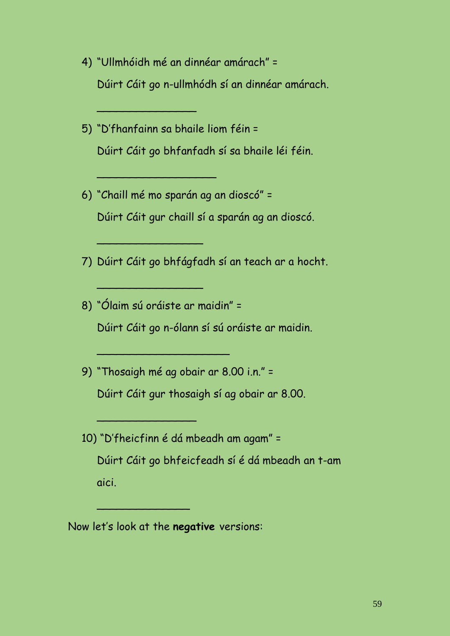- 4) "Ullmhóidh mé an dinnéar amárach" = Dúirt Cáit go n-ullmhódh sí an dinnéar amárach.
- 5) "D'fhanfainn sa bhaile liom féin = Dúirt Cáit go bhfanfadh sí sa bhaile léi féin.

\_\_\_\_\_\_\_\_\_\_\_\_\_\_\_

\_\_\_\_\_\_\_\_\_\_\_\_\_\_\_\_\_\_

 $\overline{\phantom{a}}$  , where  $\overline{\phantom{a}}$  , where  $\overline{\phantom{a}}$  , where  $\overline{\phantom{a}}$ 

 $\overline{\phantom{a}}$  , where  $\overline{\phantom{a}}$  , where  $\overline{\phantom{a}}$  , where  $\overline{\phantom{a}}$ 

\_\_\_\_\_\_\_\_\_\_\_\_\_\_\_\_\_\_\_\_

\_\_\_\_\_\_\_\_\_\_\_\_\_\_\_

 $\overline{\phantom{a}}$  , where  $\overline{\phantom{a}}$ 

- 6) "Chaill mé mo sparán ag an dioscó" = Dúirt Cáit gur chaill sí a sparán ag an dioscó.
- 7) Dúirt Cáit go bhfágfadh sí an teach ar a hocht.
- 8) "Ólaim sú oráiste ar maidin" = Dúirt Cáit go n-ólann sí sú oráiste ar maidin.
- 9) "Thosaigh mé ag obair ar 8.00 i.n." = Dúirt Cáit gur thosaigh sí ag obair ar 8.00.
- 10) "D'fheicfinn é dá mbeadh am agam" = Dúirt Cáit go bhfeicfeadh sí é dá mbeadh an t-am aici.

Now let's look at the **negative** versions: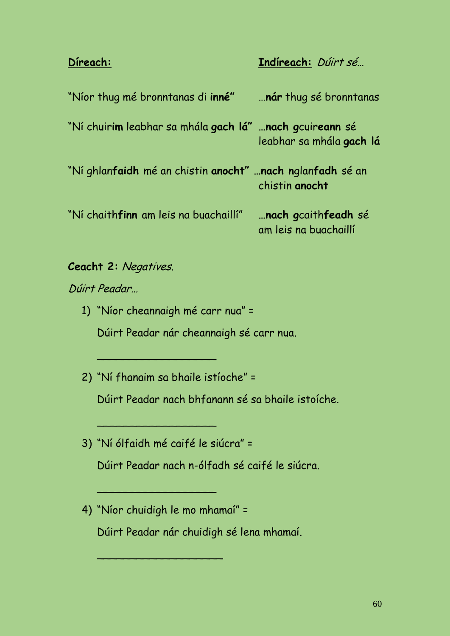## **Díreach: Indíreach:** Dúirt sé…

| "Níor thug mé bronntanas di inné"                          | nár thug sé bronntanas                       |
|------------------------------------------------------------|----------------------------------------------|
| "Ní chuirim leabhar sa mhála gach lá" nach gcuireann sé    | leabhar sa mhála gach lá                     |
| "Ní ghlanfaidh mé an chistin anocht"  nach nglanfadh sé an | chistin anocht                               |
| "Ní chaithfinn am leis na buachaillí"                      | nach gcaithfeadh sé<br>am leis na buachaillí |

#### **Ceacht 2:** Negatives.

Dúirt Peadar…

1) "Níor cheannaigh mé carr nua" =

Dúirt Peadar nár cheannaigh sé carr nua.

2) "Ní fhanaim sa bhaile istíoche" =

\_\_\_\_\_\_\_\_\_\_\_\_\_\_\_\_\_\_

 $\mathcal{L}_\text{max}$  , where  $\mathcal{L}_\text{max}$  , we have the set of the set of the set of the set of the set of the set of the set of the set of the set of the set of the set of the set of the set of the set of the set of the set of

Dúirt Peadar nach bhfanann sé sa bhaile istoíche.

3) "Ní ólfaidh mé caifé le siúcra" =

Dúirt Peadar nach n-ólfadh sé caifé le siúcra.

4) "Níor chuidigh le mo mhamaí" =

\_\_\_\_\_\_\_\_\_\_\_\_\_\_\_\_\_\_\_

Dúirt Peadar nár chuidigh sé lena mhamaí.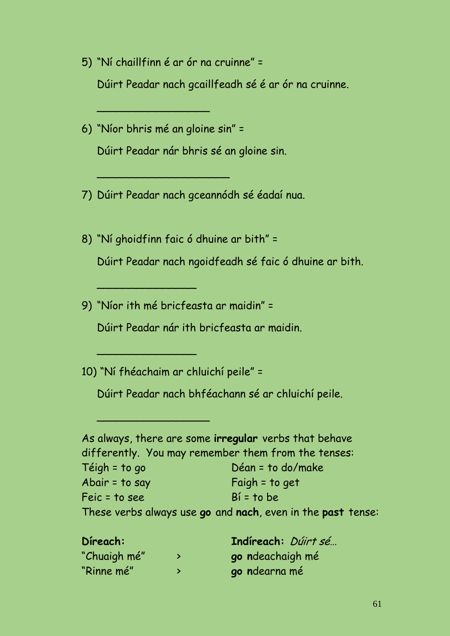- 5) "Ní chaillfinn é ar ór na cruinne" = Dúirt Peadar nach gcaillfeadh sé é ar ór na cruinne.
- 6) "Níor bhris mé an gloine sin" = Dúirt Peadar nár bhris sé an gloine sin.

\_\_\_\_\_\_\_\_\_\_\_\_\_\_\_\_\_

\_\_\_\_\_\_\_\_\_\_\_\_\_\_\_\_\_\_\_\_

- 7) Dúirt Peadar nach gceannódh sé éadaí nua.
- 8) "Ní ghoidfinn faic ó dhuine ar bith" = Dúirt Peadar nach ngoidfeadh sé faic ó dhuine ar bith.
- 9) "Níor ith mé bricfeasta ar maidin" =

\_\_\_\_\_\_\_\_\_\_\_\_\_\_\_

\_\_\_\_\_\_\_\_\_\_\_\_\_\_\_

\_\_\_\_\_\_\_\_\_\_\_\_\_\_\_\_\_

Dúirt Peadar nár ith bricfeasta ar maidin.

10) "Ní fhéachaim ar chluichí peile" =

Dúirt Peadar nach bhféachann sé ar chluichí peile.

|                | As always, there are some irregular verbs that behave       |
|----------------|-------------------------------------------------------------|
|                | differently. You may remember them from the tenses:         |
| Téigh = to go  | Déan = to do/make                                           |
| Abair = to say | Faigh $=$ to get                                            |
| Feic = to see  | $Bf = to be$                                                |
|                | These verbs always use go and nach, even in the past tense: |

| Direach:     |   | Indireach: <i>Dúirt sé</i> |
|--------------|---|----------------------------|
| "Chuaigh mé" | ⋗ | go ndeachaigh mé           |
| "Rinne mé"   |   | go ndearna mé              |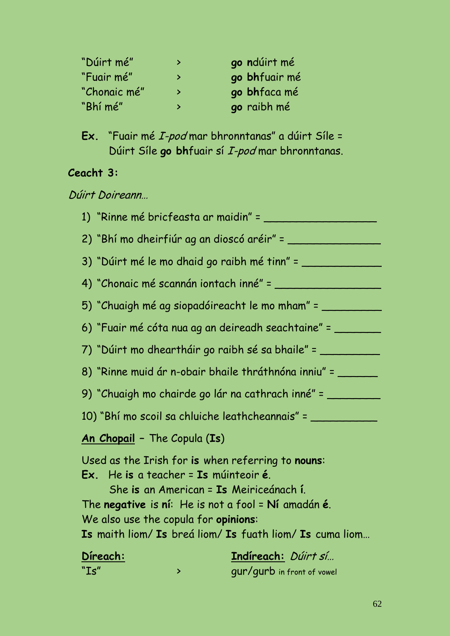| "Dúirt mé"   | ⋗ | go ndúirt mé  |
|--------------|---|---------------|
| "Fuair mé"   | ⋗ | go bhfuair mé |
| "Chonaic mé" | ⋗ | go bhfaca mé  |
| "Bhí mé"     | ⋗ | go raibh mé   |

**Ex.** "Fuair mé I-pod mar bhronntanas" a dúirt Síle = Dúirt Síle **go bh**fuair sí I-pod mar bhronntanas.

### **Ceacht 3:**

Dúirt Doireann…

|                                                                               |   | 1) "Rinne mé bricfeasta ar maidin" = ___________                                                                                                                                                                     |
|-------------------------------------------------------------------------------|---|----------------------------------------------------------------------------------------------------------------------------------------------------------------------------------------------------------------------|
|                                                                               |   |                                                                                                                                                                                                                      |
|                                                                               |   | 3) "Dúirt mé le mo dhaid go raibh mé tinn" =                                                                                                                                                                         |
|                                                                               |   |                                                                                                                                                                                                                      |
|                                                                               |   | 5) "Chuaigh mé ag siopadóireacht le mo mham" = _________________________________                                                                                                                                     |
|                                                                               |   | 6) "Fuair mé cóta nua ag an deireadh seachtaine" = ________                                                                                                                                                          |
|                                                                               |   | 7) "Dúirt mo dheartháir go raibh sé sa bhaile" = __________                                                                                                                                                          |
|                                                                               |   | 8) "Rinne muid ár n-obair bhaile thráthnóna inniu" = ______                                                                                                                                                          |
|                                                                               |   | 9) "Chuaigh mo chairde go lár na cathrach inné" = _________                                                                                                                                                          |
|                                                                               |   | 10) "Bhí mo scoil sa chluiche leathcheannais" = ___________                                                                                                                                                          |
| An Chopail - The Copula (Is)                                                  |   |                                                                                                                                                                                                                      |
| Ex. He is a teacher = Is múinteoir é.<br>We also use the copula for opinions: |   | Used as the Irish for is when referring to nouns:<br>She is an American = Is Meiriceánach í.<br>The negative is $ni$ : He is not a fool = $Ni$ amadán é.<br>Is maith liom/ Is breá liom/ Is fuath liom/ Is cuma liom |
| Direach:<br>"Is"                                                              | ⋗ | Indireach: Dúirt sí<br>gur/gurb in front of vowel                                                                                                                                                                    |